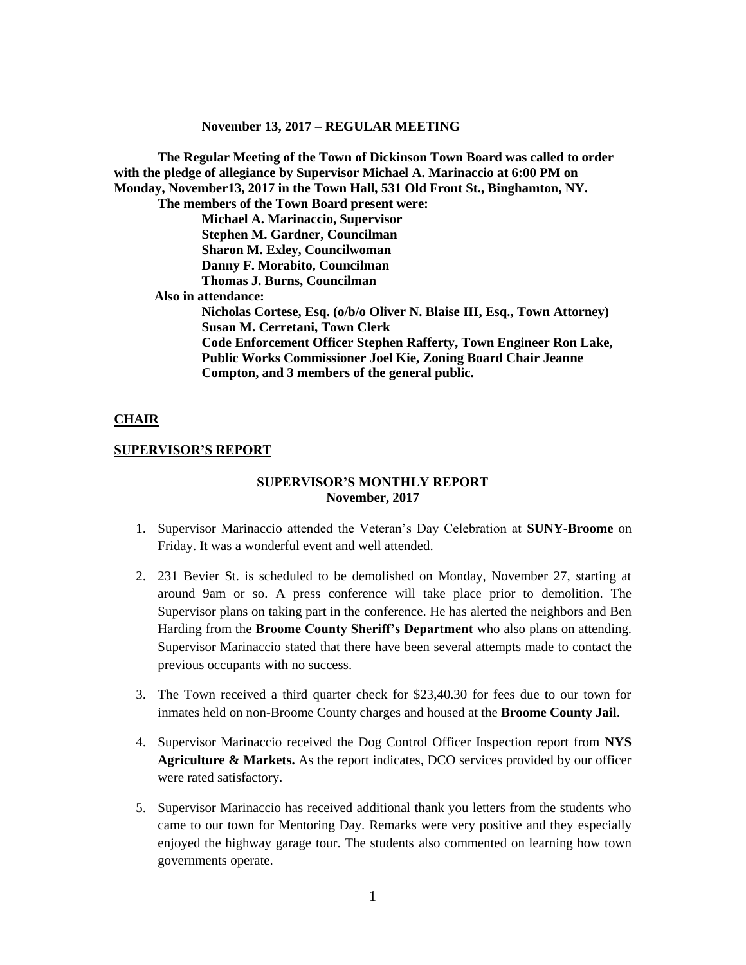**The Regular Meeting of the Town of Dickinson Town Board was called to order with the pledge of allegiance by Supervisor Michael A. Marinaccio at 6:00 PM on Monday, November13, 2017 in the Town Hall, 531 Old Front St., Binghamton, NY. The members of the Town Board present were:**

**Michael A. Marinaccio, Supervisor Stephen M. Gardner, Councilman Sharon M. Exley, Councilwoman Danny F. Morabito, Councilman Thomas J. Burns, Councilman**

 **Also in attendance:**

**Nicholas Cortese, Esq. (o/b/o Oliver N. Blaise III, Esq., Town Attorney) Susan M. Cerretani, Town Clerk Code Enforcement Officer Stephen Rafferty, Town Engineer Ron Lake, Public Works Commissioner Joel Kie, Zoning Board Chair Jeanne Compton, and 3 members of the general public.**

## **CHAIR**

#### **SUPERVISOR'S REPORT**

## **SUPERVISOR'S MONTHLY REPORT November, 2017**

- 1. Supervisor Marinaccio attended the Veteran's Day Celebration at **SUNY-Broome** on Friday. It was a wonderful event and well attended.
- 2. 231 Bevier St. is scheduled to be demolished on Monday, November 27, starting at around 9am or so. A press conference will take place prior to demolition. The Supervisor plans on taking part in the conference. He has alerted the neighbors and Ben Harding from the **Broome County Sheriff's Department** who also plans on attending. Supervisor Marinaccio stated that there have been several attempts made to contact the previous occupants with no success.
- 3. The Town received a third quarter check for \$23,40.30 for fees due to our town for inmates held on non-Broome County charges and housed at the **Broome County Jail**.
- 4. Supervisor Marinaccio received the Dog Control Officer Inspection report from **NYS Agriculture & Markets.** As the report indicates, DCO services provided by our officer were rated satisfactory.
- 5. Supervisor Marinaccio has received additional thank you letters from the students who came to our town for Mentoring Day. Remarks were very positive and they especially enjoyed the highway garage tour. The students also commented on learning how town governments operate.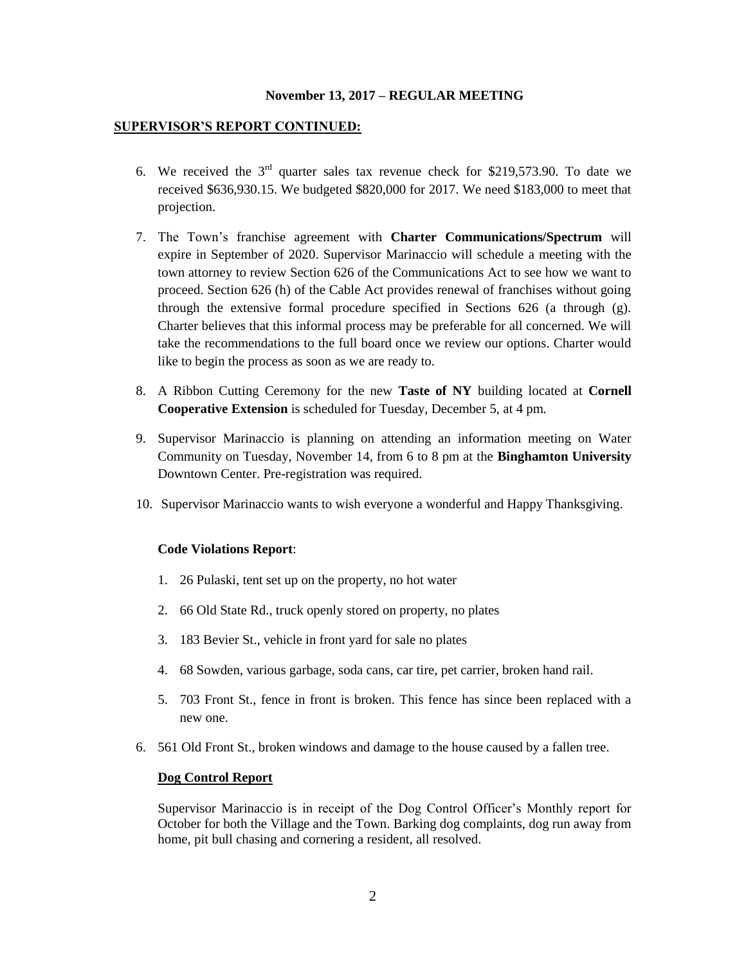## **SUPERVISOR'S REPORT CONTINUED:**

- 6. We received the  $3<sup>rd</sup>$  quarter sales tax revenue check for \$219,573.90. To date we received \$636,930.15. We budgeted \$820,000 for 2017. We need \$183,000 to meet that projection.
- 7. The Town's franchise agreement with **Charter Communications/Spectrum** will expire in September of 2020. Supervisor Marinaccio will schedule a meeting with the town attorney to review Section 626 of the Communications Act to see how we want to proceed. Section 626 (h) of the Cable Act provides renewal of franchises without going through the extensive formal procedure specified in Sections 626 (a through (g). Charter believes that this informal process may be preferable for all concerned. We will take the recommendations to the full board once we review our options. Charter would like to begin the process as soon as we are ready to.
- 8. A Ribbon Cutting Ceremony for the new **Taste of NY** building located at **Cornell Cooperative Extension** is scheduled for Tuesday, December 5, at 4 pm.
- 9. Supervisor Marinaccio is planning on attending an information meeting on Water Community on Tuesday, November 14, from 6 to 8 pm at the **Binghamton University** Downtown Center. Pre-registration was required.
- 10. Supervisor Marinaccio wants to wish everyone a wonderful and Happy Thanksgiving.

#### **Code Violations Report**:

- 1. 26 Pulaski, tent set up on the property, no hot water
- 2. 66 Old State Rd., truck openly stored on property, no plates
- 3. 183 Bevier St., vehicle in front yard for sale no plates
- 4. 68 Sowden, various garbage, soda cans, car tire, pet carrier, broken hand rail.
- 5. 703 Front St., fence in front is broken. This fence has since been replaced with a new one.
- 6. 561 Old Front St., broken windows and damage to the house caused by a fallen tree.

#### **Dog Control Report**

Supervisor Marinaccio is in receipt of the Dog Control Officer's Monthly report for October for both the Village and the Town. Barking dog complaints, dog run away from home, pit bull chasing and cornering a resident, all resolved.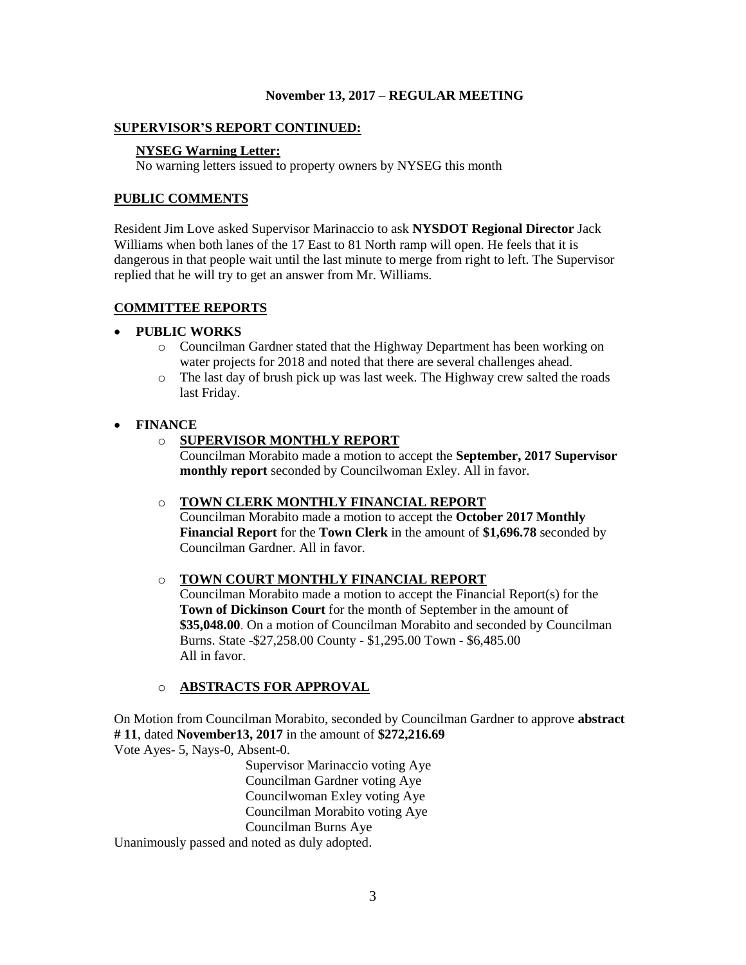### **SUPERVISOR'S REPORT CONTINUED:**

## **NYSEG Warning Letter:**

No warning letters issued to property owners by NYSEG this month

## **PUBLIC COMMENTS**

Resident Jim Love asked Supervisor Marinaccio to ask **NYSDOT Regional Director** Jack Williams when both lanes of the 17 East to 81 North ramp will open. He feels that it is dangerous in that people wait until the last minute to merge from right to left. The Supervisor replied that he will try to get an answer from Mr. Williams.

## **COMMITTEE REPORTS**

## **PUBLIC WORKS**

- o Councilman Gardner stated that the Highway Department has been working on water projects for 2018 and noted that there are several challenges ahead.
- o The last day of brush pick up was last week. The Highway crew salted the roads last Friday.

## **FINANCE**

## o **SUPERVISOR MONTHLY REPORT**

Councilman Morabito made a motion to accept the **September, 2017 Supervisor monthly report** seconded by Councilwoman Exley. All in favor.

#### o **TOWN CLERK MONTHLY FINANCIAL REPORT**

Councilman Morabito made a motion to accept the **October 2017 Monthly Financial Report** for the **Town Clerk** in the amount of **\$1,696.78** seconded by Councilman Gardner. All in favor.

## o **TOWN COURT MONTHLY FINANCIAL REPORT**

Councilman Morabito made a motion to accept the Financial Report(s) for the **Town of Dickinson Court** for the month of September in the amount of **\$35,048.00**. On a motion of Councilman Morabito and seconded by Councilman Burns. State -\$27,258.00 County - \$1,295.00 Town - \$6,485.00 All in favor.

## o **ABSTRACTS FOR APPROVAL**

On Motion from Councilman Morabito, seconded by Councilman Gardner to approve **abstract # 11**, dated **November13, 2017** in the amount of **\$272,216.69** Vote Ayes- 5, Nays-0, Absent-0.

> Supervisor Marinaccio voting Aye Councilman Gardner voting Aye Councilwoman Exley voting Aye Councilman Morabito voting Aye Councilman Burns Aye

Unanimously passed and noted as duly adopted.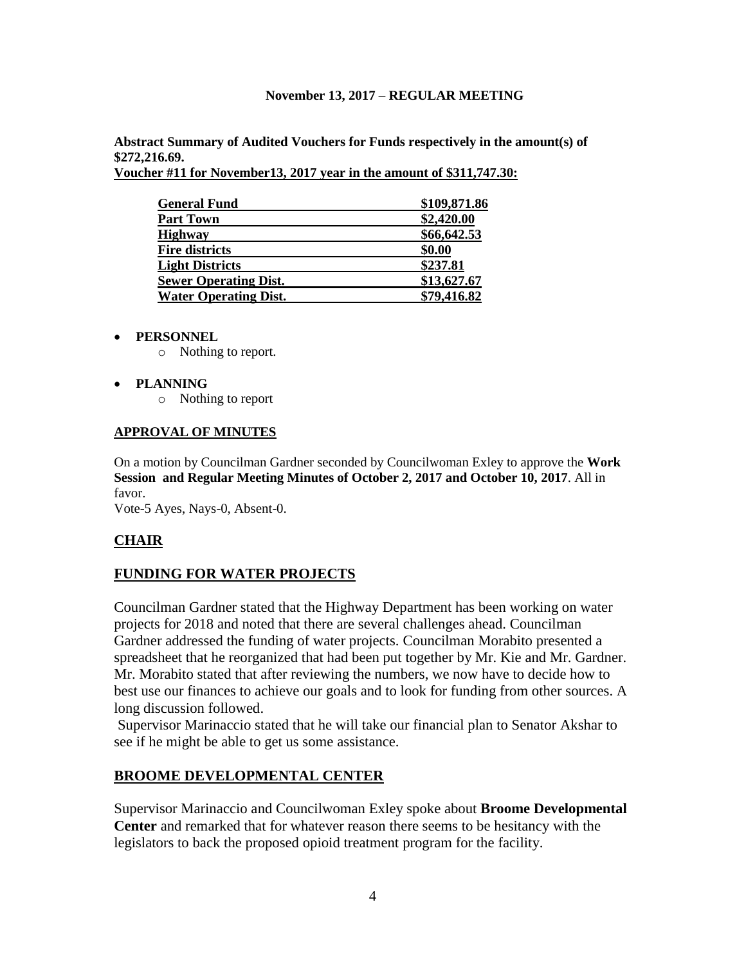**Abstract Summary of Audited Vouchers for Funds respectively in the amount(s) of \$272,216.69.** 

**Voucher #11 for November13, 2017 year in the amount of \$311,747.30:** 

| <b>General Fund</b>          | \$109,871.86 |
|------------------------------|--------------|
| <b>Part Town</b>             | \$2,420.00   |
| <b>Highway</b>               | \$66,642.53  |
| <b>Fire districts</b>        | \$0.00       |
| <b>Light Districts</b>       | \$237.81     |
| <b>Sewer Operating Dist.</b> | \$13,627.67  |
| <b>Water Operating Dist.</b> | \$79,416.82  |

# **PERSONNEL**

o Nothing to report.

# **PLANNING**

o Nothing to report

# **APPROVAL OF MINUTES**

On a motion by Councilman Gardner seconded by Councilwoman Exley to approve the **Work Session and Regular Meeting Minutes of October 2, 2017 and October 10, 2017**. All in favor.

Vote-5 Ayes, Nays-0, Absent-0.

# **CHAIR**

# **FUNDING FOR WATER PROJECTS**

Councilman Gardner stated that the Highway Department has been working on water projects for 2018 and noted that there are several challenges ahead. Councilman Gardner addressed the funding of water projects. Councilman Morabito presented a spreadsheet that he reorganized that had been put together by Mr. Kie and Mr. Gardner. Mr. Morabito stated that after reviewing the numbers, we now have to decide how to best use our finances to achieve our goals and to look for funding from other sources. A long discussion followed.

Supervisor Marinaccio stated that he will take our financial plan to Senator Akshar to see if he might be able to get us some assistance.

# **BROOME DEVELOPMENTAL CENTER**

Supervisor Marinaccio and Councilwoman Exley spoke about **Broome Developmental Center** and remarked that for whatever reason there seems to be hesitancy with the legislators to back the proposed opioid treatment program for the facility.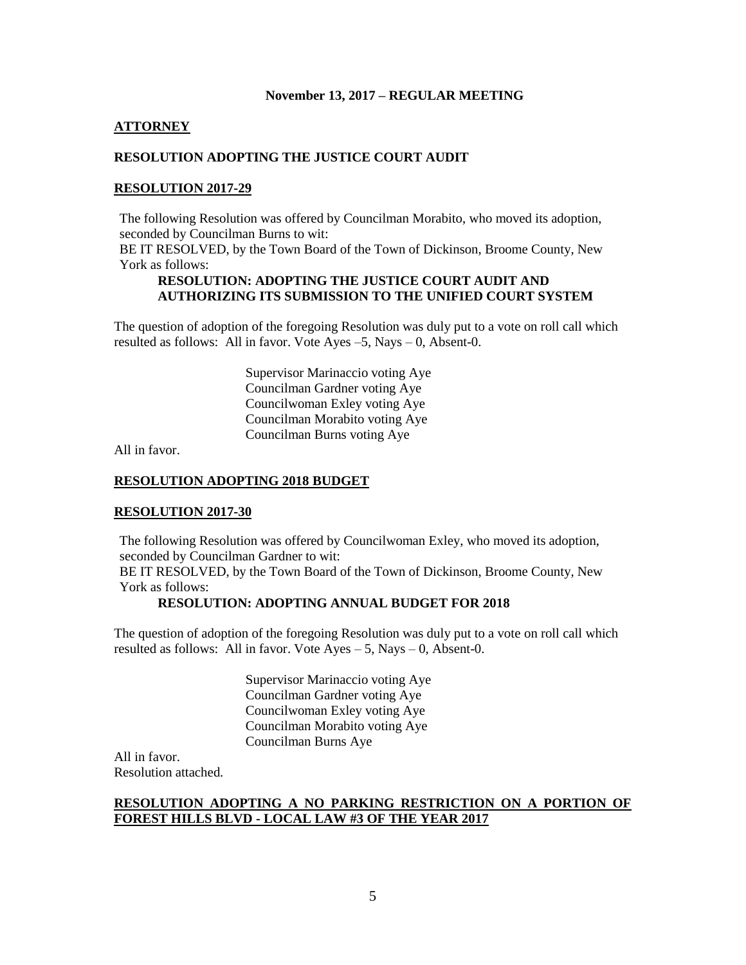### **ATTORNEY**

## **RESOLUTION ADOPTING THE JUSTICE COURT AUDIT**

### **RESOLUTION 2017-29**

The following Resolution was offered by Councilman Morabito, who moved its adoption, seconded by Councilman Burns to wit:

BE IT RESOLVED, by the Town Board of the Town of Dickinson, Broome County, New York as follows:

## **RESOLUTION: ADOPTING THE JUSTICE COURT AUDIT AND AUTHORIZING ITS SUBMISSION TO THE UNIFIED COURT SYSTEM**

The question of adoption of the foregoing Resolution was duly put to a vote on roll call which resulted as follows: All in favor. Vote Ayes –5, Nays – 0, Absent-0.

> Supervisor Marinaccio voting Aye Councilman Gardner voting Aye Councilwoman Exley voting Aye Councilman Morabito voting Aye Councilman Burns voting Aye

All in favor.

#### **RESOLUTION ADOPTING 2018 BUDGET**

#### **RESOLUTION 2017-30**

The following Resolution was offered by Councilwoman Exley, who moved its adoption, seconded by Councilman Gardner to wit:

BE IT RESOLVED, by the Town Board of the Town of Dickinson, Broome County, New York as follows:

## **RESOLUTION: ADOPTING ANNUAL BUDGET FOR 2018**

The question of adoption of the foregoing Resolution was duly put to a vote on roll call which resulted as follows: All in favor. Vote Ayes – 5, Nays – 0, Absent-0.

> Supervisor Marinaccio voting Aye Councilman Gardner voting Aye Councilwoman Exley voting Aye Councilman Morabito voting Aye Councilman Burns Aye

All in favor. Resolution attached.

# **RESOLUTION ADOPTING A NO PARKING RESTRICTION ON A PORTION OF FOREST HILLS BLVD - LOCAL LAW #3 OF THE YEAR 2017**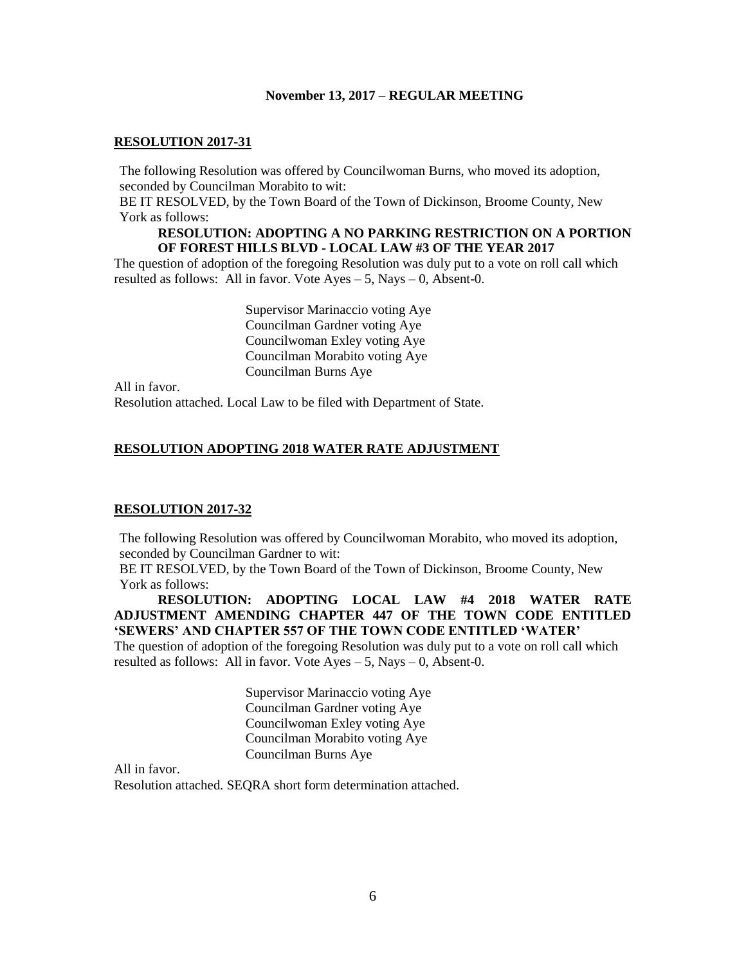#### **RESOLUTION 2017-31**

The following Resolution was offered by Councilwoman Burns, who moved its adoption, seconded by Councilman Morabito to wit:

BE IT RESOLVED, by the Town Board of the Town of Dickinson, Broome County, New York as follows:

## **RESOLUTION: ADOPTING A NO PARKING RESTRICTION ON A PORTION OF FOREST HILLS BLVD - LOCAL LAW #3 OF THE YEAR 2017**

The question of adoption of the foregoing Resolution was duly put to a vote on roll call which resulted as follows: All in favor. Vote  $Ayes - 5$ , Nays  $- 0$ , Absent-0.

> Supervisor Marinaccio voting Aye Councilman Gardner voting Aye Councilwoman Exley voting Aye Councilman Morabito voting Aye Councilman Burns Aye

All in favor. Resolution attached. Local Law to be filed with Department of State.

## **RESOLUTION ADOPTING 2018 WATER RATE ADJUSTMENT**

#### **RESOLUTION 2017-32**

The following Resolution was offered by Councilwoman Morabito, who moved its adoption, seconded by Councilman Gardner to wit:

BE IT RESOLVED, by the Town Board of the Town of Dickinson, Broome County, New York as follows:

# **RESOLUTION: ADOPTING LOCAL LAW #4 2018 WATER RATE ADJUSTMENT AMENDING CHAPTER 447 OF THE TOWN CODE ENTITLED 'SEWERS' AND CHAPTER 557 OF THE TOWN CODE ENTITLED 'WATER'**

The question of adoption of the foregoing Resolution was duly put to a vote on roll call which resulted as follows: All in favor. Vote  $Ayes - 5$ , Nays  $- 0$ , Absent-0.

> Supervisor Marinaccio voting Aye Councilman Gardner voting Aye Councilwoman Exley voting Aye Councilman Morabito voting Aye Councilman Burns Aye

All in favor.

Resolution attached. SEQRA short form determination attached.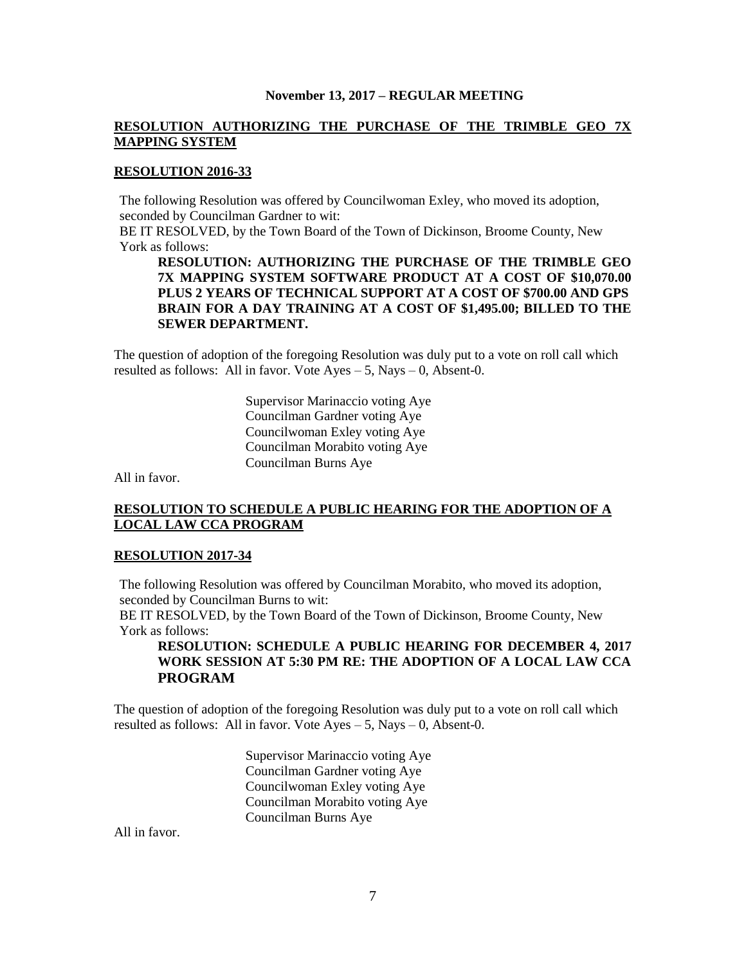# **RESOLUTION AUTHORIZING THE PURCHASE OF THE TRIMBLE GEO 7X MAPPING SYSTEM**

## **RESOLUTION 2016-33**

The following Resolution was offered by Councilwoman Exley, who moved its adoption, seconded by Councilman Gardner to wit:

BE IT RESOLVED, by the Town Board of the Town of Dickinson, Broome County, New York as follows:

**RESOLUTION: AUTHORIZING THE PURCHASE OF THE TRIMBLE GEO 7X MAPPING SYSTEM SOFTWARE PRODUCT AT A COST OF \$10,070.00 PLUS 2 YEARS OF TECHNICAL SUPPORT AT A COST OF \$700.00 AND GPS BRAIN FOR A DAY TRAINING AT A COST OF \$1,495.00; BILLED TO THE SEWER DEPARTMENT.**

The question of adoption of the foregoing Resolution was duly put to a vote on roll call which resulted as follows: All in favor. Vote Ayes – 5, Nays – 0, Absent-0.

> Supervisor Marinaccio voting Aye Councilman Gardner voting Aye Councilwoman Exley voting Aye Councilman Morabito voting Aye Councilman Burns Aye

All in favor.

# **RESOLUTION TO SCHEDULE A PUBLIC HEARING FOR THE ADOPTION OF A LOCAL LAW CCA PROGRAM**

### **RESOLUTION 2017-34**

The following Resolution was offered by Councilman Morabito, who moved its adoption, seconded by Councilman Burns to wit:

BE IT RESOLVED, by the Town Board of the Town of Dickinson, Broome County, New York as follows:

# **RESOLUTION: SCHEDULE A PUBLIC HEARING FOR DECEMBER 4, 2017 WORK SESSION AT 5:30 PM RE: THE ADOPTION OF A LOCAL LAW CCA PROGRAM**

The question of adoption of the foregoing Resolution was duly put to a vote on roll call which resulted as follows: All in favor. Vote  $Ayes - 5$ , Nays  $- 0$ , Absent-0.

> Supervisor Marinaccio voting Aye Councilman Gardner voting Aye Councilwoman Exley voting Aye Councilman Morabito voting Aye Councilman Burns Aye

All in favor.